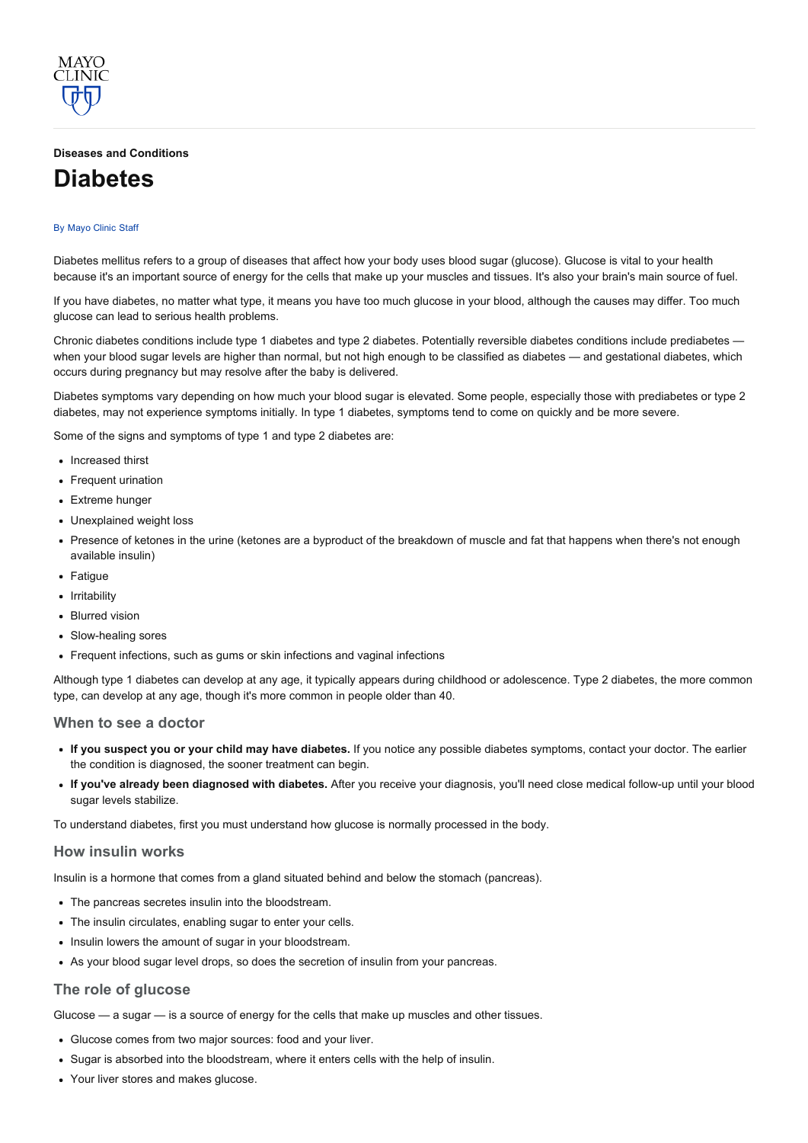#### Diseases and [Conditions](http://www.mayoclinic.org/diseases-conditions)

# [Diabetes](http://www.mayoclinic.org/diseases-conditions/diabetes/basics/definition/con-20033091)

**MAYC** 

#### By [Mayo](http://www.mayoclinic.org/about-this-site/welcome) Clinic Staff

Diabetes mellitus refers to a group of diseases that affect how your body uses blood sugar (glucose). Glucose is vital to your health because it's an important source of energy for the cells that make up your muscles and tissues. It's also your brain's main source of fuel.

If you have diabetes, no matter what type, it means you have too much glucose in your blood, although the causes may differ. Too much glucose can lead to serious health problems.

Chronic diabetes conditions include type 1 diabetes and type 2 diabetes. Potentially reversible diabetes conditions include prediabetes when your blood sugar levels are higher than normal, but not high enough to be classified as diabetes — and gestational diabetes, which occurs during pregnancy but may resolve after the baby is delivered.

Diabetes symptoms vary depending on how much your blood sugar is elevated. Some people, especially those with prediabetes or type 2 diabetes, may not experience symptoms initially. In type 1 diabetes, symptoms tend to come on quickly and be more severe.

Some of the signs and symptoms of type 1 and type 2 diabetes are:

- Increased thirst
- Frequent urination
- Extreme hunger
- Unexplained weight loss
- Presence of ketones in the urine (ketones are a byproduct of the breakdown of muscle and fat that happens when there's not enough available insulin)
- Fatique
- Irritability
- Blurred vision
- Slow-healing sores
- Frequent infections, such as gums or skin infections and vaginal infections

Although type 1 diabetes can develop at any age, it typically appears during childhood or adolescence. Type 2 diabetes, the more common type, can develop at any age, though it's more common in people older than 40.

#### When to see a doctor

- If you suspect you or your child may have diabetes. If you notice any possible diabetes symptoms, contact your doctor. The earlier the condition is diagnosed, the sooner treatment can begin.
- If you've already been diagnosed with diabetes. After you receive your diagnosis, you'll need close medical follow-up until your blood sugar levels stabilize.

To understand diabetes, first you must understand how glucose is normally processed in the body.

#### How insulin works

Insulin is a hormone that comes from a gland situated behind and below the stomach (pancreas).

- The pancreas secretes insulin into the bloodstream.
- The insulin circulates, enabling sugar to enter your cells.
- Insulin lowers the amount of sugar in your bloodstream.
- As your blood sugar level drops, so does the secretion of insulin from your pancreas.

## The role of glucose

Glucose — a sugar — is a source of energy for the cells that make up muscles and other tissues.

- Glucose comes from two major sources: food and your liver.
- Sugar is absorbed into the bloodstream, where it enters cells with the help of insulin.
- Your liver stores and makes glucose.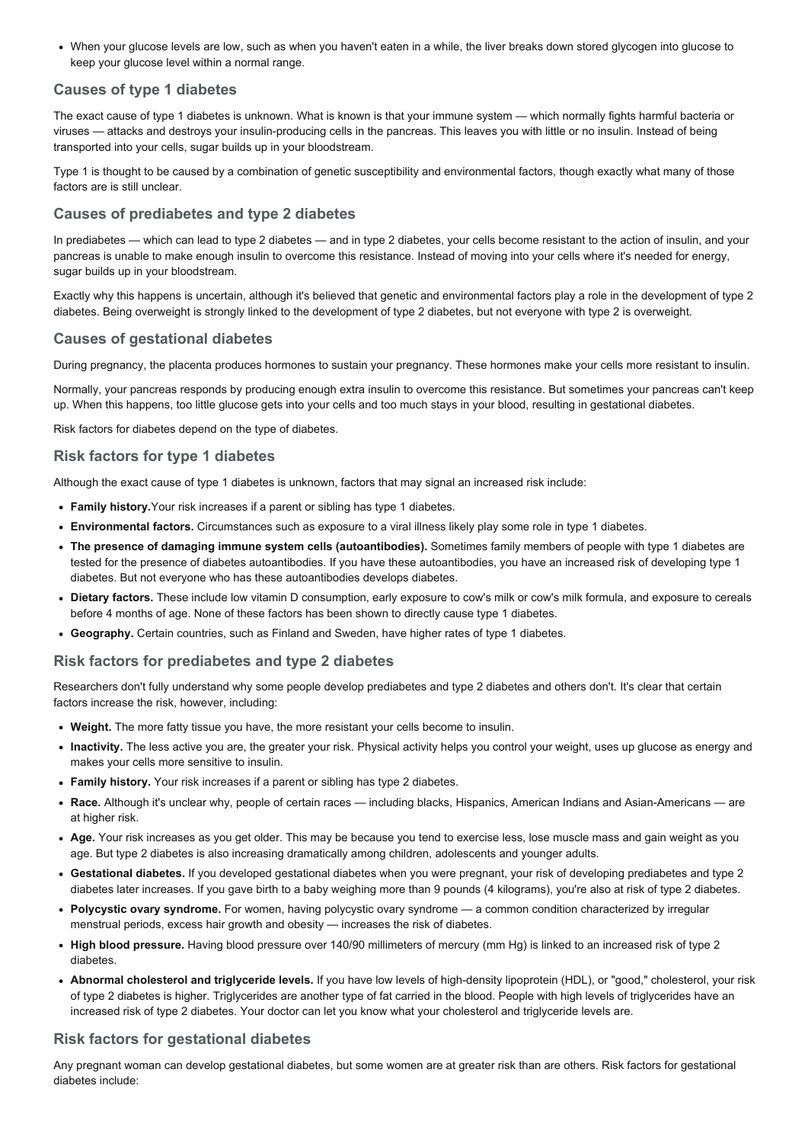When your glucose levels are low, such as when you haven't eaten in a while, the liver breaks down stored glycogen into glucose to keep your glucose level within a normal range.

# Causes of type 1 diabetes

The exact cause of type 1 diabetes is unknown. What is known is that your immune system — which normally fights harmful bacteria or viruses - attacks and destroys your insulin-producing cells in the pancreas. This leaves you with little or no insulin. Instead of being transported into your cells, sugar builds up in your bloodstream.

Type 1 is thought to be caused by a combination of genetic susceptibility and environmental factors, though exactly what many of those factors are is still unclear.

## Causes of prediabetes and type 2 diabetes

In prediabetes — which can lead to type 2 diabetes — and in type 2 diabetes, your cells become resistant to the action of insulin, and your pancreas is unable to make enough insulin to overcome this resistance. Instead of moving into your cells where it's needed for energy, sugar builds up in your bloodstream.

Exactly why this happens is uncertain, although it's believed that genetic and environmental factors play a role in the development of type 2 diabetes. Being overweight is strongly linked to the development of type 2 diabetes, but not everyone with type 2 is overweight.

# Causes of gestational diabetes

During pregnancy, the placenta produces hormones to sustain your pregnancy. These hormones make your cells more resistant to insulin.

Normally, your pancreas responds by producing enough extra insulin to overcome this resistance. But sometimes your pancreas can't keep up. When this happens, too little glucose gets into your cells and too much stays in your blood, resulting in gestational diabetes.

Risk factors for diabetes depend on the type of diabetes.

## Risk factors for type 1 diabetes

Although the exact cause of type 1 diabetes is unknown, factors that may signal an increased risk include:

- Family history. Your risk increases if a parent or sibling has type 1 diabetes.
- Environmental factors. Circumstances such as exposure to a viral illness likely play some role in type 1 diabetes.
- The presence of damaging immune system cells (autoantibodies). Sometimes family members of people with type 1 diabetes are tested for the presence of diabetes autoantibodies. If you have these autoantibodies, you have an increased risk of developing type 1 diabetes. But not everyone who has these autoantibodies develops diabetes.
- Dietary factors. These include low vitamin D consumption, early exposure to cow's milk or cow's milk formula, and exposure to cereals before 4 months of age. None of these factors has been shown to directly cause type 1 diabetes.
- Geography. Certain countries, such as Finland and Sweden, have higher rates of type 1 diabetes.

## Risk factors for prediabetes and type 2 diabetes

Researchers don't fully understand why some people develop prediabetes and type 2 diabetes and others don't. It's clear that certain factors increase the risk, however, including:

- Weight. The more fatty tissue you have, the more resistant your cells become to insulin.
- Inactivity. The less active you are, the greater your risk. Physical activity helps you control your weight, uses up glucose as energy and makes your cells more sensitive to insulin.
- Family history. Your risk increases if a parent or sibling has type 2 diabetes.
- Race. Although it's unclear why, people of certain races including blacks, Hispanics, American Indians and Asian-Americans are at higher risk.
- Age. Your risk increases as you get older. This may be because you tend to exercise less, lose muscle mass and gain weight as you age. But type 2 diabetes is also increasing dramatically among children, adolescents and younger adults.
- Gestational diabetes. If you developed gestational diabetes when you were pregnant, your risk of developing prediabetes and type 2 diabetes later increases. If you gave birth to a baby weighing more than 9 pounds (4 kilograms), you're also at risk of type 2 diabetes.
- Polycystic ovary syndrome. For women, having polycystic ovary syndrome a common condition characterized by irregular menstrual periods, excess hair growth and obesity — increases the risk of diabetes.
- High blood pressure. Having blood pressure over 140/90 millimeters of mercury (mm Hg) is linked to an increased risk of type 2 diabetes.
- Abnormal cholesterol and triglyceride levels. If you have low levels of high-density lipoprotein (HDL), or "good," cholesterol, your risk of type 2 diabetes is higher. Triglycerides are another type of fat carried in the blood. People with high levels of triglycerides have an increased risk of type 2 diabetes. Your doctor can let you know what your cholesterol and triglyceride levels are.

# Risk factors for gestational diabetes

Any pregnant woman can develop gestational diabetes, but some women are at greater risk than are others. Risk factors for gestational diabetes include: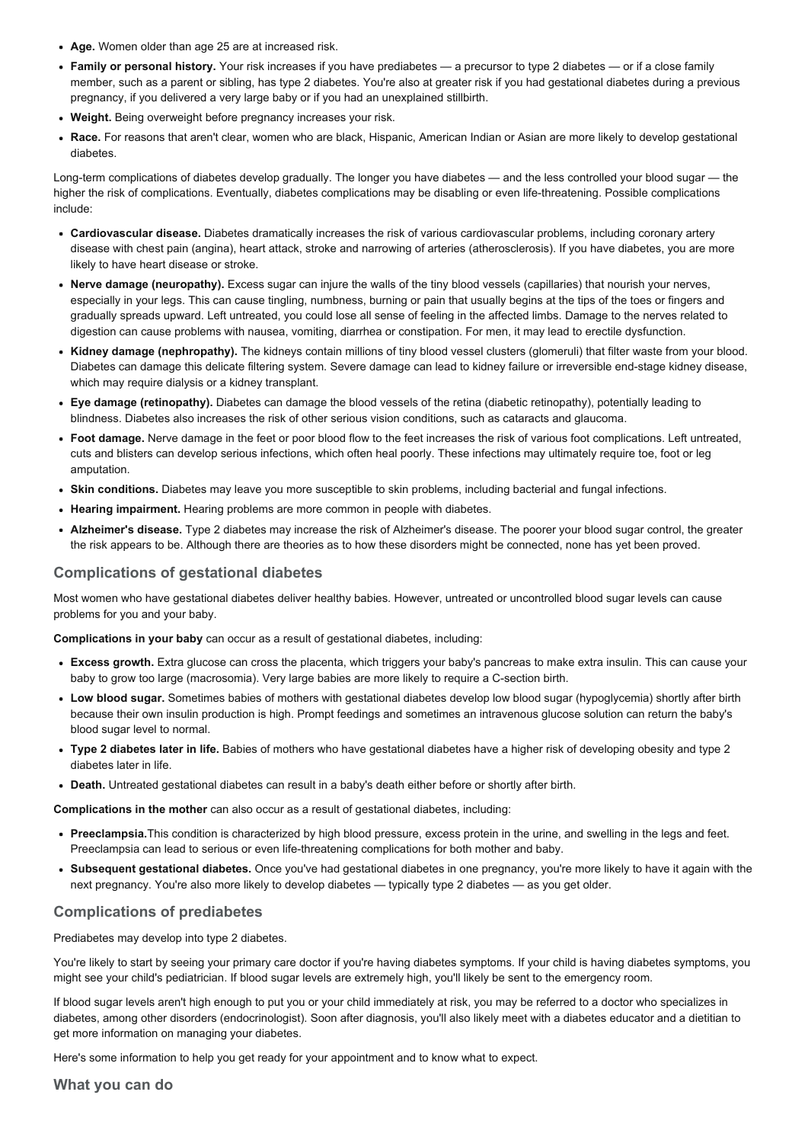- Age. Women older than age 25 are at increased risk.
- Family or personal history. Your risk increases if you have prediabetes a precursor to type 2 diabetes or if a close family member, such as a parent or sibling, has type 2 diabetes. You're also at greater risk if you had gestational diabetes during a previous pregnancy, if you delivered a very large baby or if you had an unexplained stillbirth.
- Weight. Being overweight before pregnancy increases your risk.
- Race. For reasons that aren't clear, women who are black, Hispanic, American Indian or Asian are more likely to develop gestational diabetes.

Long-term complications of diabetes develop gradually. The longer you have diabetes — and the less controlled your blood sugar — the higher the risk of complications. Eventually, diabetes complications may be disabling or even life-threatening. Possible complications include:

- Cardiovascular disease. Diabetes dramatically increases the risk of various cardiovascular problems, including coronary artery disease with chest pain (angina), heart attack, stroke and narrowing of arteries (atherosclerosis). If you have diabetes, you are more likely to have heart disease or stroke.
- Nerve damage (neuropathy). Excess sugar can injure the walls of the tiny blood vessels (capillaries) that nourish your nerves, especially in your legs. This can cause tingling, numbness, burning or pain that usually begins at the tips of the toes or fingers and gradually spreads upward. Left untreated, you could lose all sense of feeling in the affected limbs. Damage to the nerves related to digestion can cause problems with nausea, vomiting, diarrhea or constipation. For men, it may lead to erectile dysfunction.
- Kidney damage (nephropathy). The kidneys contain millions of tiny blood vessel clusters (glomeruli) that filter waste from your blood. Diabetes can damage this delicate filtering system. Severe damage can lead to kidney failure or irreversible end-stage kidney disease, which may require dialysis or a kidney transplant.
- Eye damage (retinopathy). Diabetes can damage the blood vessels of the retina (diabetic retinopathy), potentially leading to blindness. Diabetes also increases the risk of other serious vision conditions, such as cataracts and glaucoma.
- Foot damage. Nerve damage in the feet or poor blood flow to the feet increases the risk of various foot complications. Left untreated, cuts and blisters can develop serious infections, which often heal poorly. These infections may ultimately require toe, foot or leg amputation.
- Skin conditions. Diabetes may leave you more susceptible to skin problems, including bacterial and fungal infections.
- Hearing impairment. Hearing problems are more common in people with diabetes.
- Alzheimer's disease. Type 2 diabetes may increase the risk of Alzheimer's disease. The poorer your blood sugar control, the greater the risk appears to be. Although there are theories as to how these disorders might be connected, none has yet been proved.

#### Complications of gestational diabetes

Most women who have gestational diabetes deliver healthy babies. However, untreated or uncontrolled blood sugar levels can cause problems for you and your baby.

Complications in your baby can occur as a result of gestational diabetes, including:

- Excess growth. Extra glucose can cross the placenta, which triggers your baby's pancreas to make extra insulin. This can cause your baby to grow too large (macrosomia). Very large babies are more likely to require a C-section birth.
- Low blood sugar. Sometimes babies of mothers with gestational diabetes develop low blood sugar (hypoglycemia) shortly after birth because their own insulin production is high. Prompt feedings and sometimes an intravenous glucose solution can return the baby's blood sugar level to normal.
- Type 2 diabetes later in life. Babies of mothers who have gestational diabetes have a higher risk of developing obesity and type 2 diabetes later in life.
- Death. Untreated gestational diabetes can result in a baby's death either before or shortly after birth.

Complications in the mother can also occur as a result of gestational diabetes, including:

- Preeclampsia.This condition is characterized by high blood pressure, excess protein in the urine, and swelling in the legs and feet. Preeclampsia can lead to serious or even life-threatening complications for both mother and baby.
- Subsequent gestational diabetes. Once you've had gestational diabetes in one pregnancy, you're more likely to have it again with the next pregnancy. You're also more likely to develop diabetes — typically type 2 diabetes — as you get older.

#### Complications of prediabetes

Prediabetes may develop into type 2 diabetes.

You're likely to start by seeing your primary care doctor if you're having diabetes symptoms. If your child is having diabetes symptoms, you might see your child's pediatrician. If blood sugar levels are extremely high, you'll likely be sent to the emergency room.

If blood sugar levels aren't high enough to put you or your child immediately at risk, you may be referred to a doctor who specializes in diabetes, among other disorders (endocrinologist). Soon after diagnosis, you'll also likely meet with a diabetes educator and a dietitian to get more information on managing your diabetes.

Here's some information to help you get ready for your appointment and to know what to expect.

#### What you can do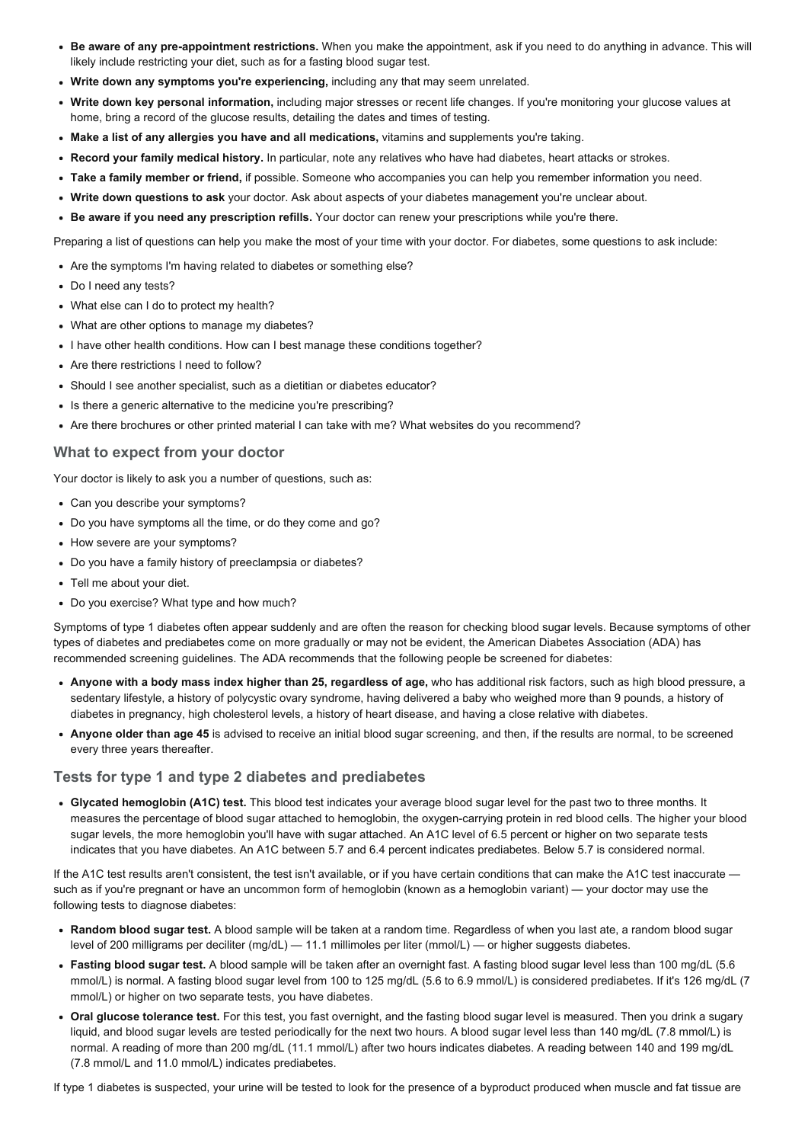- Be aware of any pre-appointment restrictions. When you make the appointment, ask if you need to do anything in advance. This will likely include restricting your diet, such as for a fasting blood sugar test.
- Write down any symptoms you're experiencing, including any that may seem unrelated.
- Write down key personal information, including major stresses or recent life changes. If you're monitoring your glucose values at home, bring a record of the glucose results, detailing the dates and times of testing.
- Make a list of any allergies you have and all medications, vitamins and supplements you're taking.
- Record your family medical history. In particular, note any relatives who have had diabetes, heart attacks or strokes.
- Take a family member or friend, if possible. Someone who accompanies you can help you remember information you need.
- Write down questions to ask your doctor. Ask about aspects of your diabetes management you're unclear about.
- Be aware if you need any prescription refills. Your doctor can renew your prescriptions while you're there.

Preparing a list of questions can help you make the most of your time with your doctor. For diabetes, some questions to ask include:

- Are the symptoms I'm having related to diabetes or something else?
- Do I need any tests?
- What else can I do to protect my health?
- What are other options to manage my diabetes?
- I have other health conditions. How can I best manage these conditions together?
- Are there restrictions I need to follow?
- Should I see another specialist, such as a dietitian or diabetes educator?
- Is there a generic alternative to the medicine you're prescribing?
- Are there brochures or other printed material I can take with me? What websites do you recommend?

#### What to expect from your doctor

Your doctor is likely to ask you a number of questions, such as:

- Can you describe your symptoms?
- Do you have symptoms all the time, or do they come and go?
- How severe are your symptoms?
- Do you have a family history of preeclampsia or diabetes?
- Tell me about your diet.
- Do you exercise? What type and how much?

Symptoms of type 1 diabetes often appear suddenly and are often the reason for checking blood sugar levels. Because symptoms of other types of diabetes and prediabetes come on more gradually or may not be evident, the American Diabetes Association (ADA) has recommended screening guidelines. The ADA recommends that the following people be screened for diabetes:

- Anyone with a body mass index higher than 25, regardless of age, who has additional risk factors, such as high blood pressure, a sedentary lifestyle, a history of polycystic ovary syndrome, having delivered a baby who weighed more than 9 pounds, a history of diabetes in pregnancy, high cholesterol levels, a history of heart disease, and having a close relative with diabetes.
- Anyone older than age 45 is advised to receive an initial blood sugar screening, and then, if the results are normal, to be screened every three years thereafter.

#### Tests for type 1 and type 2 diabetes and prediabetes

Glycated hemoglobin (A1C) test. This blood test indicates your average blood sugar level for the past two to three months. It measures the percentage of blood sugar attached to hemoglobin, the oxygen-carrying protein in red blood cells. The higher your blood sugar levels, the more hemoglobin you'll have with sugar attached. An A1C level of 6.5 percent or higher on two separate tests indicates that you have diabetes. An A1C between 5.7 and 6.4 percent indicates prediabetes. Below 5.7 is considered normal.

If the A1C test results aren't consistent, the test isn't available, or if you have certain conditions that can make the A1C test inaccurate such as if you're pregnant or have an uncommon form of hemoglobin (known as a hemoglobin variant) — your doctor may use the following tests to diagnose diabetes:

- Random blood sugar test. A blood sample will be taken at a random time. Regardless of when you last ate, a random blood sugar level of 200 milligrams per deciliter (mg/dL) — 11.1 millimoles per liter (mmol/L) — or higher suggests diabetes.
- Fasting blood sugar test. A blood sample will be taken after an overnight fast. A fasting blood sugar level less than 100 mg/dL (5.6 mmol/L) is normal. A fasting blood sugar level from 100 to 125 mg/dL (5.6 to 6.9 mmol/L) is considered prediabetes. If it's 126 mg/dL (7 mmol/L) or higher on two separate tests, you have diabetes.
- Oral glucose tolerance test. For this test, you fast overnight, and the fasting blood sugar level is measured. Then you drink a sugary liquid, and blood sugar levels are tested periodically for the next two hours. A blood sugar level less than 140 mg/dL (7.8 mmol/L) is normal. A reading of more than 200 mg/dL (11.1 mmol/L) after two hours indicates diabetes. A reading between 140 and 199 mg/dL (7.8 mmol/L and 11.0 mmol/L) indicates prediabetes.

If type 1 diabetes is suspected, your urine will be tested to look for the presence of a byproduct produced when muscle and fat tissue are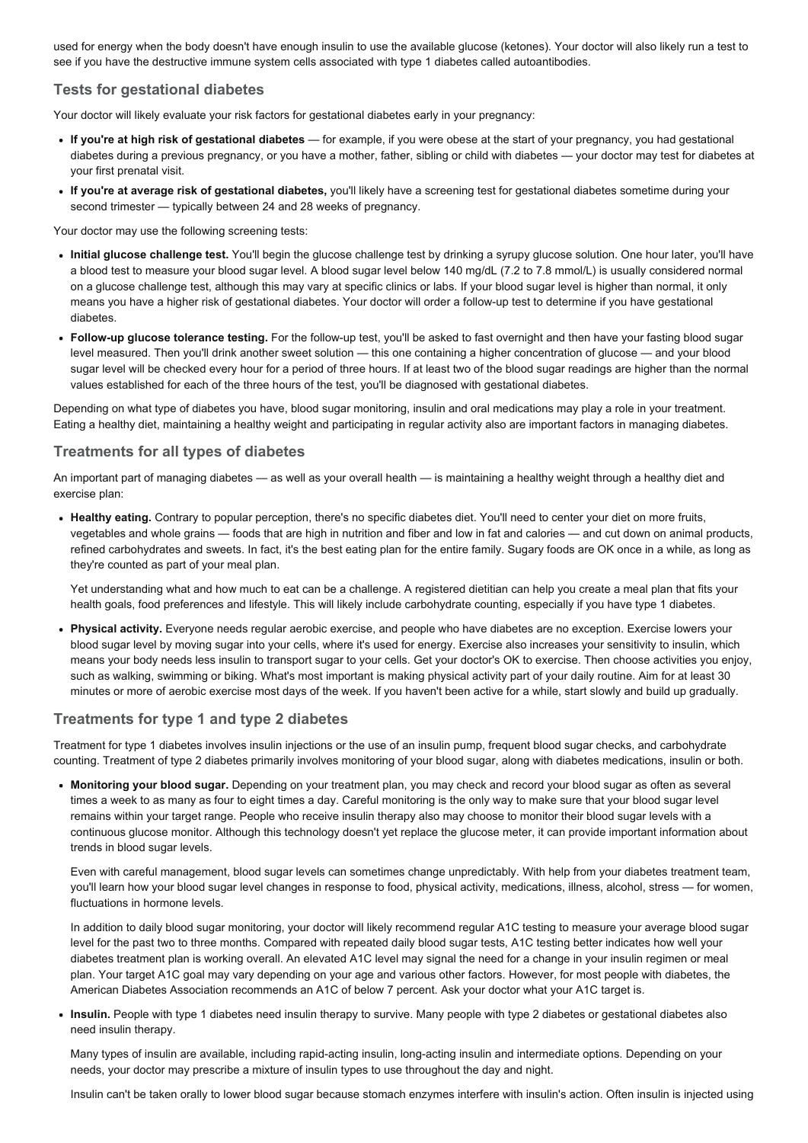used for energy when the body doesn't have enough insulin to use the available glucose (ketones). Your doctor will also likely run a test to see if you have the destructive immune system cells associated with type 1 diabetes called autoantibodies.

## Tests for gestational diabetes

Your doctor will likely evaluate your risk factors for gestational diabetes early in your pregnancy:

- If you're at high risk of gestational diabetes for example, if you were obese at the start of your pregnancy, you had gestational diabetes during a previous pregnancy, or you have a mother, father, sibling or child with diabetes — your doctor may test for diabetes at your first prenatal visit.
- If you're at average risk of gestational diabetes, you'll likely have a screening test for gestational diabetes sometime during your second trimester — typically between 24 and 28 weeks of pregnancy.

Your doctor may use the following screening tests:

- Initial glucose challenge test. You'll begin the glucose challenge test by drinking a syrupy glucose solution. One hour later, you'll have a blood test to measure your blood sugar level. A blood sugar level below 140 mg/dL (7.2 to 7.8 mmol/L) is usually considered normal on a glucose challenge test, although this may vary at specific clinics or labs. If your blood sugar level is higher than normal, it only means you have a higher risk of gestational diabetes. Your doctor will order a follow-up test to determine if you have gestational diabetes.
- Follow-up glucose tolerance testing. For the follow-up test, you'll be asked to fast overnight and then have your fasting blood sugar level measured. Then you'll drink another sweet solution — this one containing a higher concentration of glucose — and your blood sugar level will be checked every hour for a period of three hours. If at least two of the blood sugar readings are higher than the normal values established for each of the three hours of the test, you'll be diagnosed with gestational diabetes.

Depending on what type of diabetes you have, blood sugar monitoring, insulin and oral medications may play a role in your treatment. Eating a healthy diet, maintaining a healthy weight and participating in regular activity also are important factors in managing diabetes.

## Treatments for all types of diabetes

An important part of managing diabetes — as well as your overall health — is maintaining a healthy weight through a healthy diet and exercise plan:

Healthy eating. Contrary to popular perception, there's no specific diabetes diet. You'll need to center your diet on more fruits, vegetables and whole grains — foods that are high in nutrition and fiber and low in fat and calories — and cut down on animal products, refined carbohydrates and sweets. In fact, it's the best eating plan for the entire family. Sugary foods are OK once in a while, as long as they're counted as part of your meal plan.

Yet understanding what and how much to eat can be a challenge. A registered dietitian can help you create a meal plan that fits your health goals, food preferences and lifestyle. This will likely include carbohydrate counting, especially if you have type 1 diabetes.

• Physical activity. Everyone needs regular aerobic exercise, and people who have diabetes are no exception. Exercise lowers your blood sugar level by moving sugar into your cells, where it's used for energy. Exercise also increases your sensitivity to insulin, which means your body needs less insulin to transport sugar to your cells. Get your doctor's OK to exercise. Then choose activities you enjoy, such as walking, swimming or biking. What's most important is making physical activity part of your daily routine. Aim for at least 30 minutes or more of aerobic exercise most days of the week. If you haven't been active for a while, start slowly and build up gradually.

## Treatments for type 1 and type 2 diabetes

Treatment for type 1 diabetes involves insulin injections or the use of an insulin pump, frequent blood sugar checks, and carbohydrate counting. Treatment of type 2 diabetes primarily involves monitoring of your blood sugar, along with diabetes medications, insulin or both.

• Monitoring your blood sugar. Depending on your treatment plan, you may check and record your blood sugar as often as several times a week to as many as four to eight times a day. Careful monitoring is the only way to make sure that your blood sugar level remains within your target range. People who receive insulin therapy also may choose to monitor their blood sugar levels with a continuous glucose monitor. Although this technology doesn't yet replace the glucose meter, it can provide important information about trends in blood sugar levels.

Even with careful management, blood sugar levels can sometimes change unpredictably. With help from your diabetes treatment team, you'll learn how your blood sugar level changes in response to food, physical activity, medications, illness, alcohol, stress — for women, fluctuations in hormone levels.

In addition to daily blood sugar monitoring, your doctor will likely recommend regular A1C testing to measure your average blood sugar level for the past two to three months. Compared with repeated daily blood sugar tests, A1C testing better indicates how well your diabetes treatment plan is working overall. An elevated A1C level may signal the need for a change in your insulin regimen or meal plan. Your target A1C goal may vary depending on your age and various other factors. However, for most people with diabetes, the American Diabetes Association recommends an A1C of below 7 percent. Ask your doctor what your A1C target is.

• Insulin. People with type 1 diabetes need insulin therapy to survive. Many people with type 2 diabetes or gestational diabetes also need insulin therapy.

Many types of insulin are available, including rapid-acting insulin, long-acting insulin and intermediate options. Depending on your needs, your doctor may prescribe a mixture of insulin types to use throughout the day and night.

Insulin can't be taken orally to lower blood sugar because stomach enzymes interfere with insulin's action. Often insulin is injected using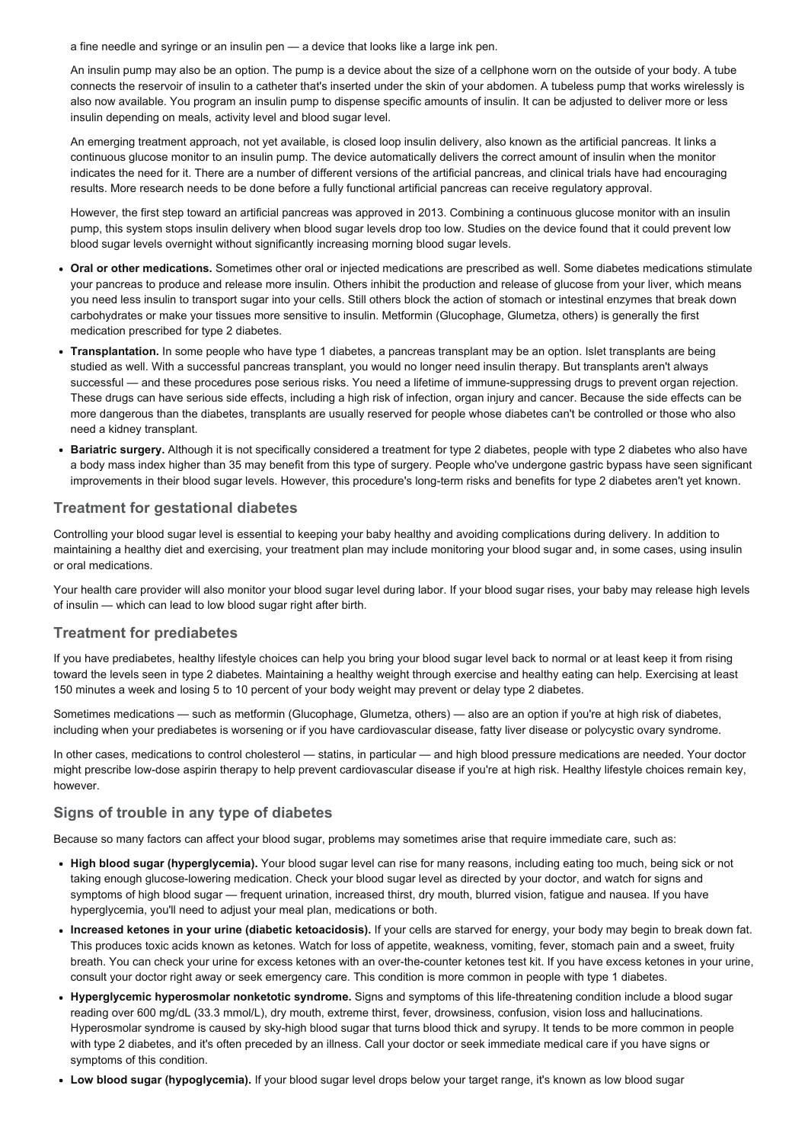a fine needle and syringe or an insulin pen — a device that looks like a large ink pen.

An insulin pump may also be an option. The pump is a device about the size of a cellphone worn on the outside of your body. A tube connects the reservoir of insulin to a catheter that's inserted under the skin of your abdomen. A tubeless pump that works wirelessly is also now available. You program an insulin pump to dispense specific amounts of insulin. It can be adjusted to deliver more or less insulin depending on meals, activity level and blood sugar level.

An emerging treatment approach, not yet available, is closed loop insulin delivery, also known as the artificial pancreas. It links a continuous glucose monitor to an insulin pump. The device automatically delivers the correct amount of insulin when the monitor indicates the need for it. There are a number of different versions of the artificial pancreas, and clinical trials have had encouraging results. More research needs to be done before a fully functional artificial pancreas can receive regulatory approval.

However, the first step toward an artificial pancreas was approved in 2013. Combining a continuous glucose monitor with an insulin pump, this system stops insulin delivery when blood sugar levels drop too low. Studies on the device found that it could prevent low blood sugar levels overnight without significantly increasing morning blood sugar levels.

- Oral or other medications. Sometimes other oral or injected medications are prescribed as well. Some diabetes medications stimulate your pancreas to produce and release more insulin. Others inhibit the production and release of glucose from your liver, which means you need less insulin to transport sugar into your cells. Still others block the action of stomach or intestinal enzymes that break down carbohydrates or make your tissues more sensitive to insulin. Metformin (Glucophage, Glumetza, others) is generally the first medication prescribed for type 2 diabetes.
- Transplantation. In some people who have type 1 diabetes, a pancreas transplant may be an option. Islet transplants are being studied as well. With a successful pancreas transplant, you would no longer need insulin therapy. But transplants aren't always successful — and these procedures pose serious risks. You need a lifetime of immune-suppressing drugs to prevent organ rejection. These drugs can have serious side effects, including a high risk of infection, organ injury and cancer. Because the side effects can be more dangerous than the diabetes, transplants are usually reserved for people whose diabetes can't be controlled or those who also need a kidney transplant.
- Bariatric surgery. Although it is not specifically considered a treatment for type 2 diabetes, people with type 2 diabetes who also have a body mass index higher than 35 may benefit from this type of surgery. People who've undergone gastric bypass have seen significant improvements in their blood sugar levels. However, this procedure's long-term risks and benefits for type 2 diabetes aren't yet known.

## Treatment for gestational diabetes

Controlling your blood sugar level is essential to keeping your baby healthy and avoiding complications during delivery. In addition to maintaining a healthy diet and exercising, your treatment plan may include monitoring your blood sugar and, in some cases, using insulin or oral medications.

Your health care provider will also monitor your blood sugar level during labor. If your blood sugar rises, your baby may release high levels of insulin — which can lead to low blood sugar right after birth.

## Treatment for prediabetes

If you have prediabetes, healthy lifestyle choices can help you bring your blood sugar level back to normal or at least keep it from rising toward the levels seen in type 2 diabetes. Maintaining a healthy weight through exercise and healthy eating can help. Exercising at least 150 minutes a week and losing 5 to 10 percent of your body weight may prevent or delay type 2 diabetes.

Sometimes medications — such as metformin (Glucophage, Glumetza, others) — also are an option if you're at high risk of diabetes, including when your prediabetes is worsening or if you have cardiovascular disease, fatty liver disease or polycystic ovary syndrome.

In other cases, medications to control cholesterol — statins, in particular — and high blood pressure medications are needed. Your doctor might prescribe low-dose aspirin therapy to help prevent cardiovascular disease if you're at high risk. Healthy lifestyle choices remain key, however.

# Signs of trouble in any type of diabetes

Because so many factors can affect your blood sugar, problems may sometimes arise that require immediate care, such as:

- High blood sugar (hyperglycemia). Your blood sugar level can rise for many reasons, including eating too much, being sick or not taking enough glucose-lowering medication. Check your blood sugar level as directed by your doctor, and watch for signs and symptoms of high blood sugar — frequent urination, increased thirst, dry mouth, blurred vision, fatigue and nausea. If you have hyperglycemia, you'll need to adjust your meal plan, medications or both.
- Increased ketones in your urine (diabetic ketoacidosis). If your cells are starved for energy, your body may begin to break down fat. This produces toxic acids known as ketones. Watch for loss of appetite, weakness, vomiting, fever, stomach pain and a sweet, fruity breath. You can check your urine for excess ketones with an over-the-counter ketones test kit. If you have excess ketones in your urine, consult your doctor right away or seek emergency care. This condition is more common in people with type 1 diabetes.
- Hyperglycemic hyperosmolar nonketotic syndrome. Signs and symptoms of this life-threatening condition include a blood sugar reading over 600 mg/dL (33.3 mmol/L), dry mouth, extreme thirst, fever, drowsiness, confusion, vision loss and hallucinations. Hyperosmolar syndrome is caused by skyhigh blood sugar that turns blood thick and syrupy. It tends to be more common in people with type 2 diabetes, and it's often preceded by an illness. Call your doctor or seek immediate medical care if you have signs or symptoms of this condition.
- Low blood sugar (hypoglycemia). If your blood sugar level drops below your target range, it's known as low blood sugar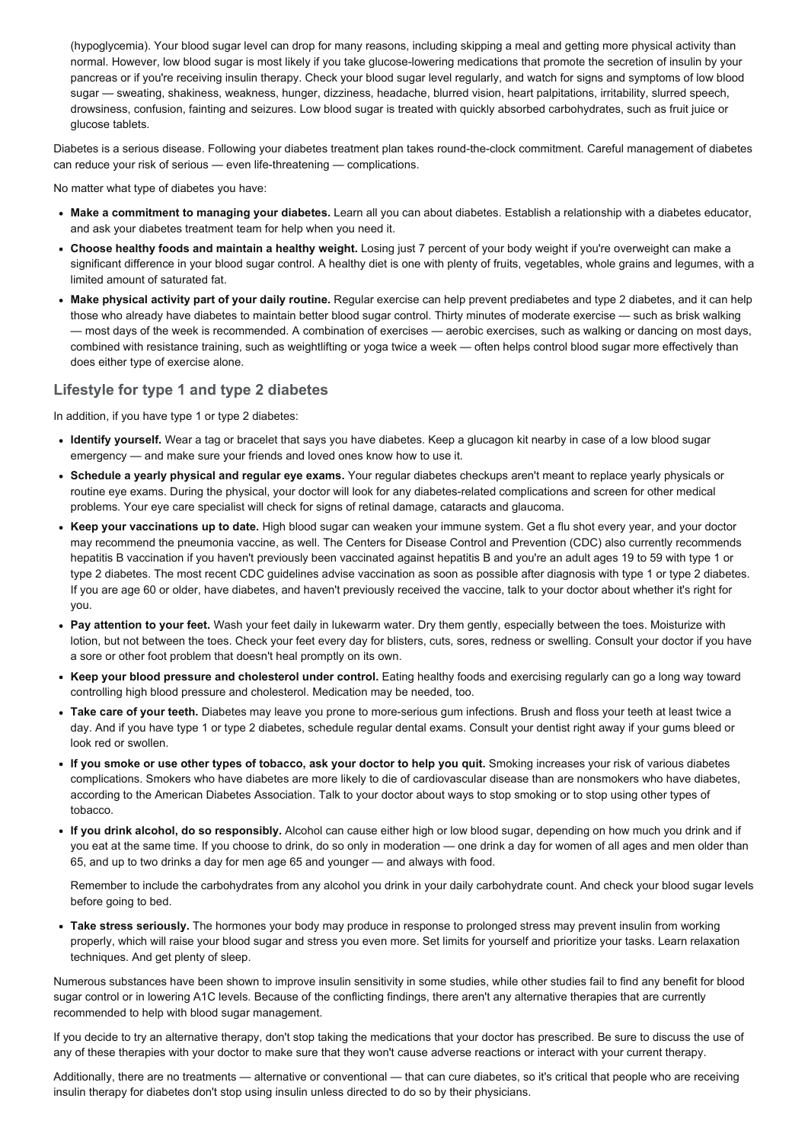(hypoglycemia). Your blood sugar level can drop for many reasons, including skipping a meal and getting more physical activity than normal. However, low blood sugar is most likely if you take glucose-lowering medications that promote the secretion of insulin by your pancreas or if you're receiving insulin therapy. Check your blood sugar level regularly, and watch for signs and symptoms of low blood sugar — sweating, shakiness, weakness, hunger, dizziness, headache, blurred vision, heart palpitations, irritability, slurred speech, drowsiness, confusion, fainting and seizures. Low blood sugar is treated with quickly absorbed carbohydrates, such as fruit juice or glucose tablets.

Diabetes is a serious disease. Following your diabetes treatment plan takes round-the-clock commitment. Careful management of diabetes can reduce your risk of serious - even life-threatening - complications.

No matter what type of diabetes you have:

- Make a commitment to managing your diabetes. Learn all you can about diabetes. Establish a relationship with a diabetes educator, and ask your diabetes treatment team for help when you need it.
- Choose healthy foods and maintain a healthy weight. Losing just 7 percent of your body weight if you're overweight can make a significant difference in your blood sugar control. A healthy diet is one with plenty of fruits, vegetables, whole grains and legumes, with a limited amount of saturated fat.
- Make physical activity part of your daily routine. Regular exercise can help prevent prediabetes and type 2 diabetes, and it can help those who already have diabetes to maintain better blood sugar control. Thirty minutes of moderate exercise — such as brisk walking — most days of the week is recommended. A combination of exercises — aerobic exercises, such as walking or dancing on most days, combined with resistance training, such as weightlifting or yoga twice a week — often helps control blood sugar more effectively than does either type of exercise alone.

## Lifestyle for type 1 and type 2 diabetes

In addition, if you have type 1 or type 2 diabetes:

- Identify yourself. Wear a tag or bracelet that says you have diabetes. Keep a glucagon kit nearby in case of a low blood sugar emergency — and make sure your friends and loved ones know how to use it.
- Schedule a yearly physical and regular eye exams. Your regular diabetes checkups aren't meant to replace yearly physicals or routine eye exams. During the physical, your doctor will look for any diabetes-related complications and screen for other medical problems. Your eye care specialist will check for signs of retinal damage, cataracts and glaucoma.
- Keep your vaccinations up to date. High blood sugar can weaken your immune system. Get a flu shot every year, and your doctor may recommend the pneumonia vaccine, as well. The Centers for Disease Control and Prevention (CDC) also currently recommends hepatitis B vaccination if you haven't previously been vaccinated against hepatitis B and you're an adult ages 19 to 59 with type 1 or type 2 diabetes. The most recent CDC guidelines advise vaccination as soon as possible after diagnosis with type 1 or type 2 diabetes. If you are age 60 or older, have diabetes, and haven't previously received the vaccine, talk to your doctor about whether it's right for you.
- Pay attention to your feet. Wash your feet daily in lukewarm water. Dry them gently, especially between the toes. Moisturize with lotion, but not between the toes. Check your feet every day for blisters, cuts, sores, redness or swelling. Consult your doctor if you have a sore or other foot problem that doesn't heal promptly on its own.
- Keep your blood pressure and cholesterol under control. Eating healthy foods and exercising regularly can go a long way toward controlling high blood pressure and cholesterol. Medication may be needed, too.
- Take care of your teeth. Diabetes may leave you prone to more-serious gum infections. Brush and floss your teeth at least twice a day. And if you have type 1 or type 2 diabetes, schedule regular dental exams. Consult your dentist right away if your gums bleed or look red or swollen.
- If you smoke or use other types of tobacco, ask your doctor to help you quit. Smoking increases your risk of various diabetes complications. Smokers who have diabetes are more likely to die of cardiovascular disease than are nonsmokers who have diabetes, according to the American Diabetes Association. Talk to your doctor about ways to stop smoking or to stop using other types of tobacco.
- If you drink alcohol, do so responsibly. Alcohol can cause either high or low blood sugar, depending on how much you drink and if you eat at the same time. If you choose to drink, do so only in moderation — one drink a day for women of all ages and men older than 65, and up to two drinks a day for men age 65 and younger — and always with food.

Remember to include the carbohydrates from any alcohol you drink in your daily carbohydrate count. And check your blood sugar levels before going to bed.

• Take stress seriously. The hormones your body may produce in response to prolonged stress may prevent insulin from working properly, which will raise your blood sugar and stress you even more. Set limits for yourself and prioritize your tasks. Learn relaxation techniques. And get plenty of sleep.

Numerous substances have been shown to improve insulin sensitivity in some studies, while other studies fail to find any benefit for blood sugar control or in lowering A1C levels. Because of the conflicting findings, there aren't any alternative therapies that are currently recommended to help with blood sugar management.

If you decide to try an alternative therapy, don't stop taking the medications that your doctor has prescribed. Be sure to discuss the use of any of these therapies with your doctor to make sure that they won't cause adverse reactions or interact with your current therapy.

Additionally, there are no treatments — alternative or conventional — that can cure diabetes, so it's critical that people who are receiving insulin therapy for diabetes don't stop using insulin unless directed to do so by their physicians.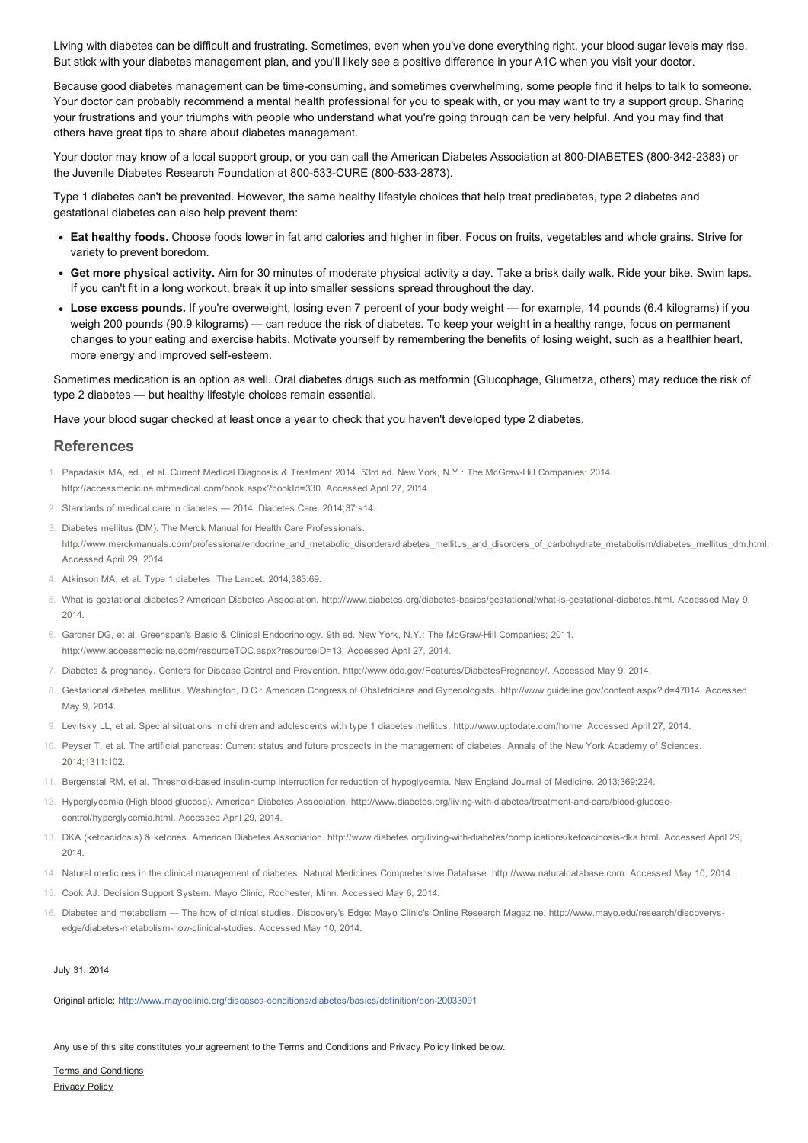Living with diabetes can be difficult and frustrating. Sometimes, even when you've done everything right, your blood sugar levels may rise. But stick with your diabetes management plan, and you'll likely see a positive difference in your A1C when you visit your doctor.

Because good diabetes management can be time-consuming, and sometimes overwhelming, some people find it helps to talk to someone. Your doctor can probably recommend a mental health professional for you to speak with, or you may want to try a support group. Sharing your frustrations and your triumphs with people who understand what you're going through can be very helpful. And you may find that others have great tips to share about diabetes management.

Your doctor may know of a local support group, or you can call the American Diabetes Association at 800-DIABETES (800-342-2383) or the Juvenile Diabetes Research Foundation at 800-533-CURE (800-533-2873).

Type 1 diabetes can't be prevented. However, the same healthy lifestyle choices that help treat prediabetes, type 2 diabetes and gestational diabetes can also help prevent them:

- Eat healthy foods. Choose foods lower in fat and calories and higher in fiber. Focus on fruits, vegetables and whole grains. Strive for variety to prevent boredom.
- Get more physical activity. Aim for 30 minutes of moderate physical activity a day. Take a brisk daily walk. Ride your bike. Swim laps. If you can't fit in a long workout, break it up into smaller sessions spread throughout the day.
- Lose excess pounds. If you're overweight, losing even 7 percent of your body weight for example, 14 pounds (6.4 kilograms) if you weigh 200 pounds (90.9 kilograms) — can reduce the risk of diabetes. To keep your weight in a healthy range, focus on permanent changes to your eating and exercise habits. Motivate yourself by remembering the benefits of losing weight, such as a healthier heart, more energy and improved self-esteem.

Sometimes medication is an option as well. Oral diabetes drugs such as metformin (Glucophage, Glumetza, others) may reduce the risk of type 2 diabetes — but healthy lifestyle choices remain essential.

Have your blood sugar checked at least once a year to check that you haven't developed type 2 diabetes.

#### **References**

- 1. Papadakis MA, ed., et al. Current Medical Diagnosis & Treatment 2014. 53rd ed. New York, N.Y.: The McGrawHill Companies; 2014. http://accessmedicine.mhmedical.com/book.aspx?bookId=330. Accessed April 27, 2014.
- 2. Standards of medical care in diabetes 2014. Diabetes Care. 2014;37:s14.
- 3. Diabetes mellitus (DM). The Merck Manual for Health Care Professionals. http://www.merckmanuals.com/professional/endocrine\_and\_metabolic\_disorders/diabetes\_mellitus\_and\_disorders\_of\_carbohydrate\_metabolism/diabetes\_mellitus\_dm.html. Accessed April 29, 2014.
- 4. Atkinson MA, et al. Type 1 diabetes. The Lancet. 2014;383:69.
- 5. What is gestational diabetes? American Diabetes Association. http://www.diabetes.org/diabetes-basics/gestational/what-is-gestational-diabetes.html. Accessed May 9, 2014.
- 6. Gardner DG, et al. Greenspan's Basic & Clinical Endocrinology. 9th ed. New York, N.Y.: The McGrawHill Companies; 2011. http://www.accessmedicine.com/resourceTOC.aspx?resourceID=13. Accessed April 27, 2014.
- 7. Diabetes & pregnancy. Centers for Disease Control and Prevention. http://www.cdc.gov/Features/DiabetesPregnancy/. Accessed May 9, 2014.
- 8. Gestational diabetes mellitus. Washington, D.C.: American Congress of Obstetricians and Gynecologists. http://www.guideline.gov/content.aspx?id=47014. Accessed May 9, 2014.
- 9. Levitsky LL, et al. Special situations in children and adolescents with type 1 diabetes mellitus. http://www.uptodate.com/home. Accessed April 27, 2014.
- 10. Peyser T, et al. The artificial pancreas: Current status and future prospects in the management of diabetes. Annals of the New York Academy of Sciences. 2014;1311:102.
- 11. Bergenstal RM, et al. Threshold-based insulin-pump interruption for reduction of hypoglycemia. New England Journal of Medicine. 2013;369:224
- 12. Hyperglycemia (High blood glucose). American Diabetes Association. http://www.diabetes.org/living-with-diabetes/treatment-and-care/blood-glucosecontrol/hyperglycemia.html. Accessed April 29, 2014.
- 13. DKA (ketoacidosis) & ketones. American Diabetes Association. http://www.diabetes.org/living-with-diabetes/complications/ketoacidosis-dka.html. Accessed April 29, 2014.
- 14. Natural medicines in the clinical management of diabetes. Natural Medicines Comprehensive Database. http://www.naturaldatabase.com. Accessed May 10, 2014.
- 15. Cook AJ. Decision Support System. Mayo Clinic, Rochester, Minn. Accessed May 6, 2014.
- 16. Diabetes and metabolism The how of clinical studies. Discovery's Edge: Mayo Clinic's Online Research Magazine. http://www.mayo.edu/research/discoverysedge/diabetes-metabolism-how-clinical-studies. Accessed May 10, 2014.

#### July 31, 2014

Original article: http://www.mayoclinic.org/diseases-conditions/diabetes/basics/definition/con-20033091

Any use of this site constitutes your agreement to the Terms and Conditions and Privacy Policy linked below.

Terms and [Conditions](http://www.mayoclinic.org/about-this-site/terms-conditions-use-policy) [Privacy](http://www.mayoclinic.org/about-this-site/privacy-policy) Policy